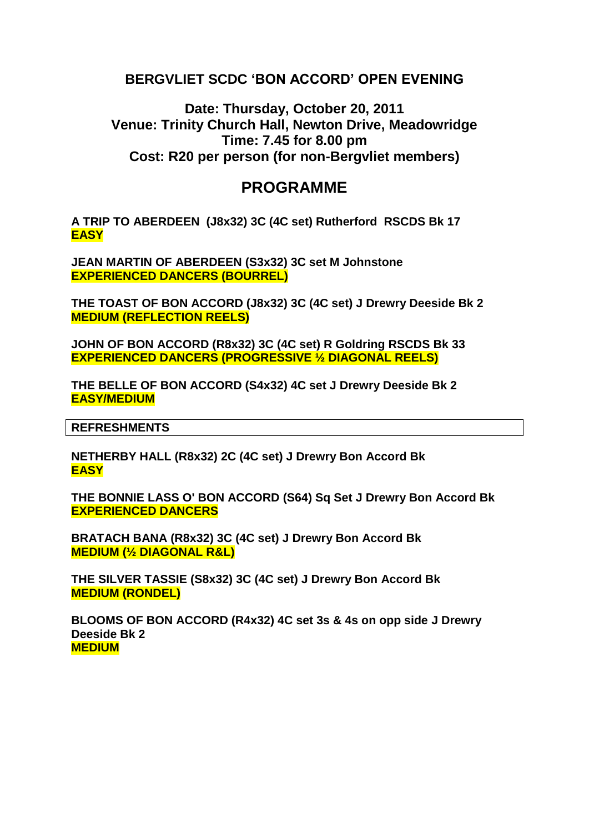## **BERGVLIET SCDC 'BON ACCORD' OPEN EVENING**

**Date: Thursday, October 20, 2011 Venue: Trinity Church Hall, Newton Drive, Meadowridge Time: 7.45 for 8.00 pm Cost: R20 per person (for non-Bergvliet members)**

# **PROGRAMME**

**A TRIP TO ABERDEEN (J8x32) 3C (4C set) Rutherford RSCDS Bk 17 EASY**

**JEAN MARTIN OF ABERDEEN (S3x32) 3C set M Johnstone EXPERIENCED DANCERS (BOURREL)**

**THE TOAST OF BON ACCORD (J8x32) 3C (4C set) J Drewry Deeside Bk 2 MEDIUM (REFLECTION REELS)**

**JOHN OF BON ACCORD (R8x32) 3C (4C set) R Goldring RSCDS Bk 33 EXPERIENCED DANCERS (PROGRESSIVE ½ DIAGONAL REELS)**

**THE BELLE OF BON ACCORD (S4x32) 4C set J Drewry Deeside Bk 2 EASY/MEDIUM**

**REFRESHMENTS**

**NETHERBY HALL (R8x32) 2C (4C set) J Drewry Bon Accord Bk EASY**

**THE BONNIE LASS O' BON ACCORD (S64) Sq Set J Drewry Bon Accord Bk EXPERIENCED DANCERS**

**BRATACH BANA (R8x32) 3C (4C set) J Drewry Bon Accord Bk MEDIUM (½ DIAGONAL R&L)**

**THE SILVER TASSIE (S8x32) 3C (4C set) J Drewry Bon Accord Bk MEDIUM (RONDEL)**

**BLOOMS OF BON ACCORD (R4x32) 4C set 3s & 4s on opp side J Drewry Deeside Bk 2 MEDIUM**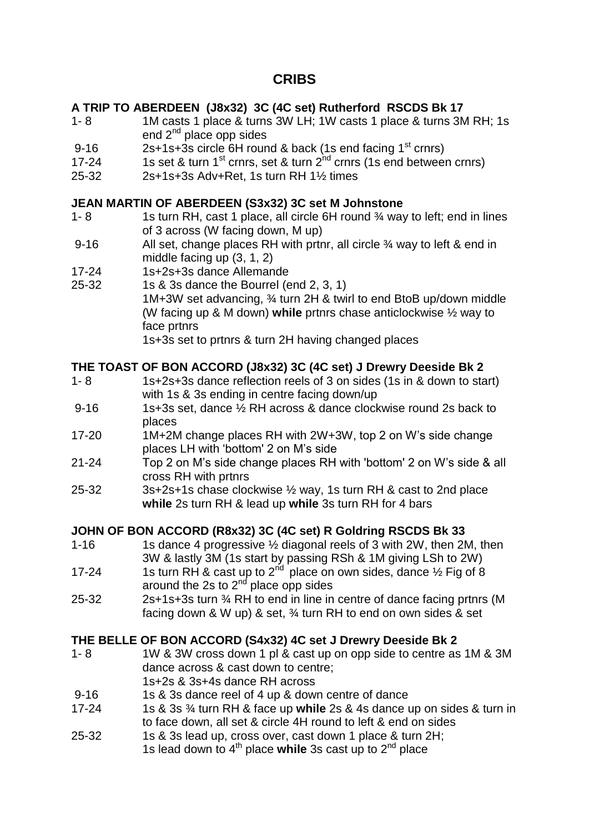# **CRIBS**

### **A TRIP TO ABERDEEN (J8x32) 3C (4C set) Rutherford RSCDS Bk 17**

- 1- 8 1M casts 1 place & turns 3W LH; 1W casts 1 place & turns 3M RH; 1s end  $2^{nd}$  place opp sides
- 9-16 2s+1s+3s circle 6H round & back (1s end facing  $1<sup>st</sup>$  crnrs)
- 17-24 1s set & turn 1<sup>st</sup> crnrs, set & turn  $2^{nd}$  crnrs (1s end between crnrs)
- 25-32 2s+1s+3s Adv+Ret, 1s turn RH 1½ times

### **JEAN MARTIN OF ABERDEEN (S3x32) 3C set M Johnstone**

- 1- 8 1s turn RH, cast 1 place, all circle 6H round <sup>3</sup>/4 way to left; end in lines of 3 across (W facing down, M up)
- 9-16 All set, change places RH with prtnr, all circle % way to left & end in middle facing up (3, 1, 2)
- 17-24 1s+2s+3s dance Allemande
- 25-32 1s & 3s dance the Bourrel (end 2, 3, 1) 1M+3W set advancing, ¾ turn 2H & twirl to end BtoB up/down middle (W facing up & M down) **while** prtnrs chase anticlockwise ½ way to face prtnrs

1s+3s set to prtnrs & turn 2H having changed places

### **THE TOAST OF BON ACCORD (J8x32) 3C (4C set) J Drewry Deeside Bk 2**

- 1- 8 1s+2s+3s dance reflection reels of 3 on sides (1s in & down to start) with 1s & 3s ending in centre facing down/up
- 9-16 1s+3s set, dance 1/2 RH across & dance clockwise round 2s back to places
- 17-20 1M+2M change places RH with 2W+3W, top 2 on W's side change places LH with 'bottom' 2 on M's side
- 21-24 Top 2 on M's side change places RH with 'bottom' 2 on W's side & all cross RH with prtnrs
- 25-32 3s+2s+1s chase clockwise ½ way, 1s turn RH & cast to 2nd place **while** 2s turn RH & lead up **while** 3s turn RH for 4 bars

### **JOHN OF BON ACCORD (R8x32) 3C (4C set) R Goldring RSCDS Bk 33**

- 1-16 1s dance 4 progressive 1/2 diagonal reels of 3 with 2W, then 2M, then 3W & lastly 3M (1s start by passing RSh & 1M giving LSh to 2W)
- 17-24 1s turn RH & cast up to  $2<sup>nd</sup>$  place on own sides, dance  $\frac{1}{2}$  Fig of 8 around the 2s to 2<sup>nd</sup> place opp sides
- 25-32 2s+1s+3s turn ¾ RH to end in line in centre of dance facing prtnrs (M facing down & W up) & set, ¾ turn RH to end on own sides & set

### **THE BELLE OF BON ACCORD (S4x32) 4C set J Drewry Deeside Bk 2**

- 1- 8 1W & 3W cross down 1 pl & cast up on opp side to centre as 1M & 3M dance across & cast down to centre; 1s+2s & 3s+4s dance RH across
- 9-16 1s & 3s dance reel of 4 up & down centre of dance
- 17-24 1s & 3s ¾ turn RH & face up **while** 2s & 4s dance up on sides & turn in to face down, all set & circle 4H round to left & end on sides
- 25-32 1s & 3s lead up, cross over, cast down 1 place & turn 2H;
	- 1s lead down to 4<sup>th</sup> place while 3s cast up to 2<sup>nd</sup> place